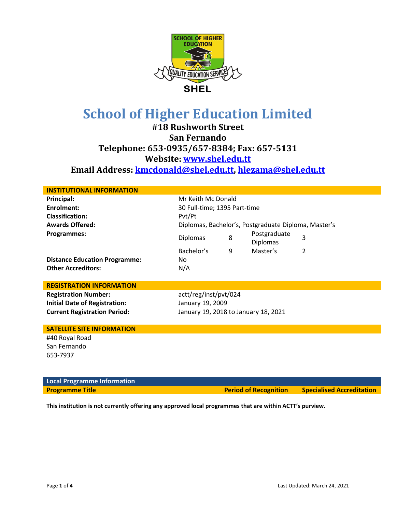

**#18 Rushworth Street San Fernando Telephone: 653-0935/657-8384; Fax: 657-5131 Website: [www.shel.edu.tt](http://www.shel.edu.tt/) Email Address: [kmcdonald@shel.edu.tt,](mailto:kmcdonald@shel.edu.tt) [hlezama@shel.edu.tt](mailto:hlezama@shel.edu.tt)**

| <b>INSTITUTIONAL INFORMATION</b>     |                                                      |   |                                 |                |
|--------------------------------------|------------------------------------------------------|---|---------------------------------|----------------|
| Principal:                           | Mr Keith Mc Donald                                   |   |                                 |                |
| Enrolment:                           | 30 Full-time; 1395 Part-time                         |   |                                 |                |
| <b>Classification:</b>               | Pvt/Pt                                               |   |                                 |                |
| <b>Awards Offered:</b>               | Diplomas, Bachelor's, Postgraduate Diploma, Master's |   |                                 |                |
| Programmes:                          | <b>Diplomas</b>                                      | 8 | Postgraduate<br><b>Diplomas</b> | 3              |
|                                      | Bachelor's                                           | 9 | Master's                        | $\mathfrak{p}$ |
| <b>Distance Education Programme:</b> | No                                                   |   |                                 |                |
| <b>Other Accreditors:</b>            | N/A                                                  |   |                                 |                |
|                                      |                                                      |   |                                 |                |
| <b>REGISTRATION INFORMATION</b>      |                                                      |   |                                 |                |
| <b>Registration Number:</b>          | actt/reg/inst/pvt/024                                |   |                                 |                |
| <b>Initial Date of Registration:</b> | January 19, 2009                                     |   |                                 |                |
| <b>Current Registration Period:</b>  | January 19, 2018 to January 18, 2021                 |   |                                 |                |
|                                      |                                                      |   |                                 |                |
| <b>SATELLITE SITE INFORMATION</b>    |                                                      |   |                                 |                |
| #40 Royal Road                       |                                                      |   |                                 |                |
| San Fernando                         |                                                      |   |                                 |                |

**Local Programme Information**

**Programme Title Construction Construction Construction Period of Recognition Specialised Accreditation** 

**This institution is not currently offering any approved local programmes that are within ACTT's purview.**

653-7937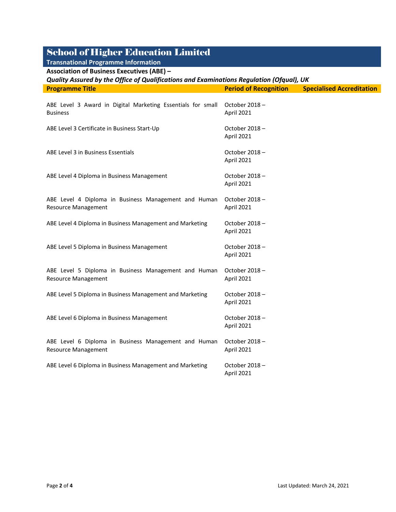| <b>Transnational Programme Information</b>                                               |                              |                                  |  |  |
|------------------------------------------------------------------------------------------|------------------------------|----------------------------------|--|--|
| <b>Association of Business Executives (ABE) -</b>                                        |                              |                                  |  |  |
| Quality Assured by the Office of Qualifications and Examinations Regulation (Ofqual), UK |                              |                                  |  |  |
| <b>Programme Title</b>                                                                   | <b>Period of Recognition</b> | <b>Specialised Accreditation</b> |  |  |
| ABE Level 3 Award in Digital Marketing Essentials for small<br><b>Business</b>           | October 2018-<br>April 2021  |                                  |  |  |
| ABE Level 3 Certificate in Business Start-Up                                             | October 2018-<br>April 2021  |                                  |  |  |
| ABE Level 3 in Business Essentials                                                       | October 2018-<br>April 2021  |                                  |  |  |
| ABE Level 4 Diploma in Business Management                                               | October 2018-<br>April 2021  |                                  |  |  |
| ABE Level 4 Diploma in Business Management and Human<br><b>Resource Management</b>       | October 2018-<br>April 2021  |                                  |  |  |
| ABE Level 4 Diploma in Business Management and Marketing                                 | October 2018 -<br>April 2021 |                                  |  |  |
| ABE Level 5 Diploma in Business Management                                               | October 2018-<br>April 2021  |                                  |  |  |
| ABE Level 5 Diploma in Business Management and Human<br><b>Resource Management</b>       | October 2018-<br>April 2021  |                                  |  |  |
| ABE Level 5 Diploma in Business Management and Marketing                                 | October 2018-<br>April 2021  |                                  |  |  |
| ABE Level 6 Diploma in Business Management                                               | October 2018-<br>April 2021  |                                  |  |  |
| ABE Level 6 Diploma in Business Management and Human<br><b>Resource Management</b>       | October 2018-<br>April 2021  |                                  |  |  |
| ABE Level 6 Diploma in Business Management and Marketing                                 | October 2018-<br>April 2021  |                                  |  |  |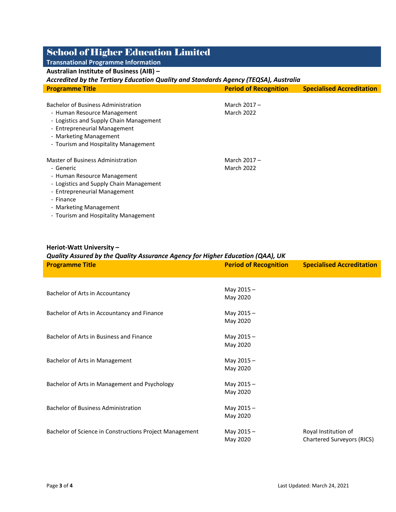### **Transnational Programme Information Australian Institute of Business (AIB) –**

### *Accredited by the Tertiary Education Quality and Standards Agency (TEQSA), Australia*

| <b>Programme Title</b>                                                                                                                                                                          | <b>Period of Recognition</b>        | <b>Specialised Accreditation</b> |
|-------------------------------------------------------------------------------------------------------------------------------------------------------------------------------------------------|-------------------------------------|----------------------------------|
| <b>Bachelor of Business Administration</b><br>- Human Resource Management<br>- Logistics and Supply Chain Management                                                                            | March 2017 -<br><b>March 2022</b>   |                                  |
| - Entrepreneurial Management<br>- Marketing Management<br>- Tourism and Hospitality Management                                                                                                  |                                     |                                  |
| Master of Business Administration<br>- Generic<br>- Human Resource Management<br>- Logistics and Supply Chain Management<br>- Entrepreneurial Management<br>- Finance<br>- Marketing Management | March $2017 -$<br><b>March 2022</b> |                                  |

- Tourism and Hospitality Management

#### **Heriot-Watt University –**

| Quality Assured by the Quality Assurance Agency for Higher Education (QAA), UK |                              |                                   |  |
|--------------------------------------------------------------------------------|------------------------------|-----------------------------------|--|
| <b>Programme Title</b>                                                         | <b>Period of Recognition</b> | <b>Specialised Accreditation</b>  |  |
|                                                                                |                              |                                   |  |
|                                                                                |                              |                                   |  |
| Bachelor of Arts in Accountancy                                                | May $2015 -$                 |                                   |  |
|                                                                                | May 2020                     |                                   |  |
| Bachelor of Arts in Accountancy and Finance                                    | May 2015-                    |                                   |  |
|                                                                                | May 2020                     |                                   |  |
|                                                                                |                              |                                   |  |
| Bachelor of Arts in Business and Finance                                       | May 2015-                    |                                   |  |
|                                                                                | May 2020                     |                                   |  |
|                                                                                |                              |                                   |  |
| Bachelor of Arts in Management                                                 | May 2015-                    |                                   |  |
|                                                                                | May 2020                     |                                   |  |
| Bachelor of Arts in Management and Psychology                                  | May 2015-                    |                                   |  |
|                                                                                | May 2020                     |                                   |  |
|                                                                                |                              |                                   |  |
| <b>Bachelor of Business Administration</b>                                     | May 2015-                    |                                   |  |
|                                                                                | May 2020                     |                                   |  |
|                                                                                |                              |                                   |  |
| Bachelor of Science in Constructions Project Management                        | May 2015-                    | Royal Institution of              |  |
|                                                                                | May 2020                     | <b>Chartered Surveyors (RICS)</b> |  |